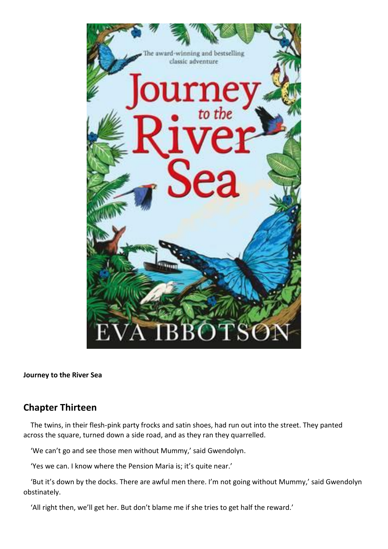

**Journey to the River Sea**

## **Chapter Thirteen**

 The twins, in their flesh-pink party frocks and satin shoes, had run out into the street. They panted across the square, turned down a side road, and as they ran they quarrelled.

'We can't go and see those men without Mummy,' said Gwendolyn.

'Yes we can. I know where the Pension Maria is; it's quite near.'

 'But it's down by the docks. There are awful men there. I'm not going without Mummy,' said Gwendolyn obstinately.

'All right then, we'll get her. But don't blame me if she tries to get half the reward.'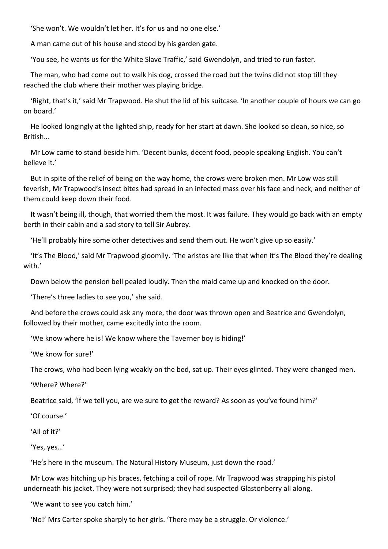'She won't. We wouldn't let her. It's for us and no one else.'

A man came out of his house and stood by his garden gate.

'You see, he wants us for the White Slave Traffic,' said Gwendolyn, and tried to run faster.

 The man, who had come out to walk his dog, crossed the road but the twins did not stop till they reached the club where their mother was playing bridge.

 'Right, that's it,' said Mr Trapwood. He shut the lid of his suitcase. 'In another couple of hours we can go on board.'

 He looked longingly at the lighted ship, ready for her start at dawn. She looked so clean, so nice, so British…

 Mr Low came to stand beside him. 'Decent bunks, decent food, people speaking English. You can't believe it.'

 But in spite of the relief of being on the way home, the crows were broken men. Mr Low was still feverish, Mr Trapwood's insect bites had spread in an infected mass over his face and neck, and neither of them could keep down their food.

 It wasn't being ill, though, that worried them the most. It was failure. They would go back with an empty berth in their cabin and a sad story to tell Sir Aubrey.

'He'll probably hire some other detectives and send them out. He won't give up so easily.'

 'It's The Blood,' said Mr Trapwood gloomily. 'The aristos are like that when it's The Blood they're dealing with '

Down below the pension bell pealed loudly. Then the maid came up and knocked on the door.

'There's three ladies to see you,' she said.

 And before the crows could ask any more, the door was thrown open and Beatrice and Gwendolyn, followed by their mother, came excitedly into the room.

'We know where he is! We know where the Taverner boy is hiding!'

'We know for sure!'

The crows, who had been lying weakly on the bed, sat up. Their eyes glinted. They were changed men.

'Where? Where?'

Beatrice said, 'If we tell you, are we sure to get the reward? As soon as you've found him?'

'Of course.'

'All of it?'

'Yes, yes…'

'He's here in the museum. The Natural History Museum, just down the road.'

 Mr Low was hitching up his braces, fetching a coil of rope. Mr Trapwood was strapping his pistol underneath his jacket. They were not surprised; they had suspected Glastonberry all along.

'We want to see you catch him.'

'No!' Mrs Carter spoke sharply to her girls. 'There may be a struggle. Or violence.'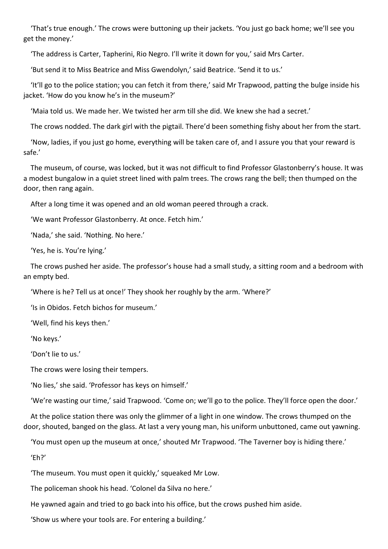'That's true enough.' The crows were buttoning up their jackets. 'You just go back home; we'll see you get the money.'

'The address is Carter, Tapherini, Rio Negro. I'll write it down for you,' said Mrs Carter.

'But send it to Miss Beatrice and Miss Gwendolyn,' said Beatrice. 'Send it to us.'

 'It'll go to the police station; you can fetch it from there,' said Mr Trapwood, patting the bulge inside his jacket. 'How do you know he's in the museum?'

'Maia told us. We made her. We twisted her arm till she did. We knew she had a secret.'

The crows nodded. The dark girl with the pigtail. There'd been something fishy about her from the start.

 'Now, ladies, if you just go home, everything will be taken care of, and I assure you that your reward is safe.'

 The museum, of course, was locked, but it was not difficult to find Professor Glastonberry's house. It was a modest bungalow in a quiet street lined with palm trees. The crows rang the bell; then thumped on the door, then rang again.

After a long time it was opened and an old woman peered through a crack.

'We want Professor Glastonberry. At once. Fetch him.'

'Nada,' she said. 'Nothing. No here.'

'Yes, he is. You're lying.'

 The crows pushed her aside. The professor's house had a small study, a sitting room and a bedroom with an empty bed.

'Where is he? Tell us at once!' They shook her roughly by the arm. 'Where?'

'Is in Obidos. Fetch bichos for museum.'

'Well, find his keys then.'

'No keys.'

'Don't lie to us.'

The crows were losing their tempers.

'No lies,' she said. 'Professor has keys on himself.'

'We're wasting our time,' said Trapwood. 'Come on; we'll go to the police. They'll force open the door.'

 At the police station there was only the glimmer of a light in one window. The crows thumped on the door, shouted, banged on the glass. At last a very young man, his uniform unbuttoned, came out yawning.

'You must open up the museum at once,' shouted Mr Trapwood. 'The Taverner boy is hiding there.'

'Eh?'

'The museum. You must open it quickly,' squeaked Mr Low.

The policeman shook his head. 'Colonel da Silva no here.'

He yawned again and tried to go back into his office, but the crows pushed him aside.

'Show us where your tools are. For entering a building.'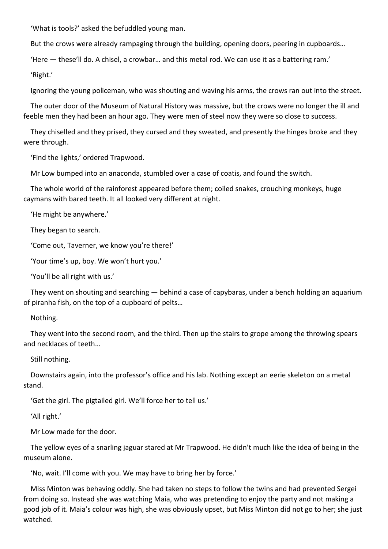'What is tools?' asked the befuddled young man.

But the crows were already rampaging through the building, opening doors, peering in cupboards…

'Here — these'll do. A chisel, a crowbar… and this metal rod. We can use it as a battering ram.'

'Right.'

Ignoring the young policeman, who was shouting and waving his arms, the crows ran out into the street.

 The outer door of the Museum of Natural History was massive, but the crows were no longer the ill and feeble men they had been an hour ago. They were men of steel now they were so close to success.

 They chiselled and they prised, they cursed and they sweated, and presently the hinges broke and they were through.

'Find the lights,' ordered Trapwood.

Mr Low bumped into an anaconda, stumbled over a case of coatis, and found the switch.

 The whole world of the rainforest appeared before them; coiled snakes, crouching monkeys, huge caymans with bared teeth. It all looked very different at night.

'He might be anywhere.'

They began to search.

'Come out, Taverner, we know you're there!'

'Your time's up, boy. We won't hurt you.'

'You'll be all right with us.'

 They went on shouting and searching — behind a case of capybaras, under a bench holding an aquarium of piranha fish, on the top of a cupboard of pelts…

Nothing.

 They went into the second room, and the third. Then up the stairs to grope among the throwing spears and necklaces of teeth…

Still nothing.

 Downstairs again, into the professor's office and his lab. Nothing except an eerie skeleton on a metal stand.

'Get the girl. The pigtailed girl. We'll force her to tell us.'

'All right.'

Mr Low made for the door.

 The yellow eyes of a snarling jaguar stared at Mr Trapwood. He didn't much like the idea of being in the museum alone.

'No, wait. I'll come with you. We may have to bring her by force.'

 Miss Minton was behaving oddly. She had taken no steps to follow the twins and had prevented Sergei from doing so. Instead she was watching Maia, who was pretending to enjoy the party and not making a good job of it. Maia's colour was high, she was obviously upset, but Miss Minton did not go to her; she just watched.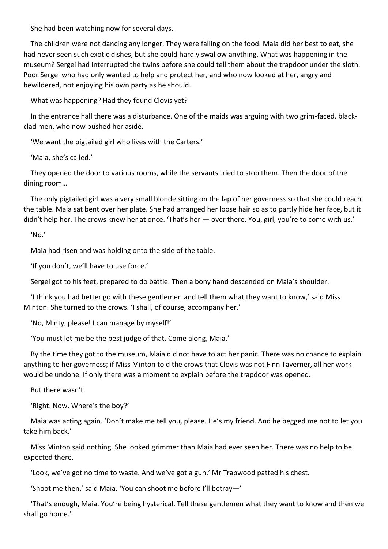She had been watching now for several days.

 The children were not dancing any longer. They were falling on the food. Maia did her best to eat, she had never seen such exotic dishes, but she could hardly swallow anything. What was happening in the museum? Sergei had interrupted the twins before she could tell them about the trapdoor under the sloth. Poor Sergei who had only wanted to help and protect her, and who now looked at her, angry and bewildered, not enjoying his own party as he should.

What was happening? Had they found Clovis yet?

 In the entrance hall there was a disturbance. One of the maids was arguing with two grim-faced, blackclad men, who now pushed her aside.

'We want the pigtailed girl who lives with the Carters.'

'Maia, she's called.'

 They opened the door to various rooms, while the servants tried to stop them. Then the door of the dining room…

 The only pigtailed girl was a very small blonde sitting on the lap of her governess so that she could reach the table. Maia sat bent over her plate. She had arranged her loose hair so as to partly hide her face, but it didn't help her. The crows knew her at once. 'That's her — over there. You, girl, you're to come with us.'

'No.'

Maia had risen and was holding onto the side of the table.

'If you don't, we'll have to use force.'

Sergei got to his feet, prepared to do battle. Then a bony hand descended on Maia's shoulder.

 'I think you had better go with these gentlemen and tell them what they want to know,' said Miss Minton. She turned to the crows. 'I shall, of course, accompany her.'

'No, Minty, please! I can manage by myself!'

'You must let me be the best judge of that. Come along, Maia.'

 By the time they got to the museum, Maia did not have to act her panic. There was no chance to explain anything to her governess; if Miss Minton told the crows that Clovis was not Finn Taverner, all her work would be undone. If only there was a moment to explain before the trapdoor was opened.

But there wasn't.

'Right. Now. Where's the boy?'

 Maia was acting again. 'Don't make me tell you, please. He's my friend. And he begged me not to let you take him back.'

 Miss Minton said nothing. She looked grimmer than Maia had ever seen her. There was no help to be expected there.

'Look, we've got no time to waste. And we've got a gun.' Mr Trapwood patted his chest.

'Shoot me then,' said Maia. 'You can shoot me before I'll betray—'

 'That's enough, Maia. You're being hysterical. Tell these gentlemen what they want to know and then we shall go home.'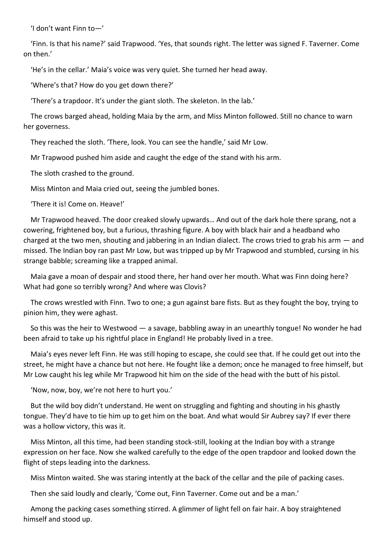'I don't want Finn to—'

 'Finn. Is that his name?' said Trapwood. 'Yes, that sounds right. The letter was signed F. Taverner. Come on then.'

'He's in the cellar.' Maia's voice was very quiet. She turned her head away.

'Where's that? How do you get down there?'

'There's a trapdoor. It's under the giant sloth. The skeleton. In the lab.'

 The crows barged ahead, holding Maia by the arm, and Miss Minton followed. Still no chance to warn her governess.

They reached the sloth. 'There, look. You can see the handle,' said Mr Low.

Mr Trapwood pushed him aside and caught the edge of the stand with his arm.

The sloth crashed to the ground.

Miss Minton and Maia cried out, seeing the jumbled bones.

'There it is! Come on. Heave!'

 Mr Trapwood heaved. The door creaked slowly upwards… And out of the dark hole there sprang, not a cowering, frightened boy, but a furious, thrashing figure. A boy with black hair and a headband who charged at the two men, shouting and jabbering in an Indian dialect. The crows tried to grab his arm — and missed. The Indian boy ran past Mr Low, but was tripped up by Mr Trapwood and stumbled, cursing in his strange babble; screaming like a trapped animal.

 Maia gave a moan of despair and stood there, her hand over her mouth. What was Finn doing here? What had gone so terribly wrong? And where was Clovis?

 The crows wrestled with Finn. Two to one; a gun against bare fists. But as they fought the boy, trying to pinion him, they were aghast.

 So this was the heir to Westwood — a savage, babbling away in an unearthly tongue! No wonder he had been afraid to take up his rightful place in England! He probably lived in a tree.

 Maia's eyes never left Finn. He was still hoping to escape, she could see that. If he could get out into the street, he might have a chance but not here. He fought like a demon; once he managed to free himself, but Mr Low caught his leg while Mr Trapwood hit him on the side of the head with the butt of his pistol.

'Now, now, boy, we're not here to hurt you.'

 But the wild boy didn't understand. He went on struggling and fighting and shouting in his ghastly tongue. They'd have to tie him up to get him on the boat. And what would Sir Aubrey say? If ever there was a hollow victory, this was it.

 Miss Minton, all this time, had been standing stock-still, looking at the Indian boy with a strange expression on her face. Now she walked carefully to the edge of the open trapdoor and looked down the flight of steps leading into the darkness.

Miss Minton waited. She was staring intently at the back of the cellar and the pile of packing cases.

Then she said loudly and clearly, 'Come out, Finn Taverner. Come out and be a man.'

 Among the packing cases something stirred. A glimmer of light fell on fair hair. A boy straightened himself and stood up.